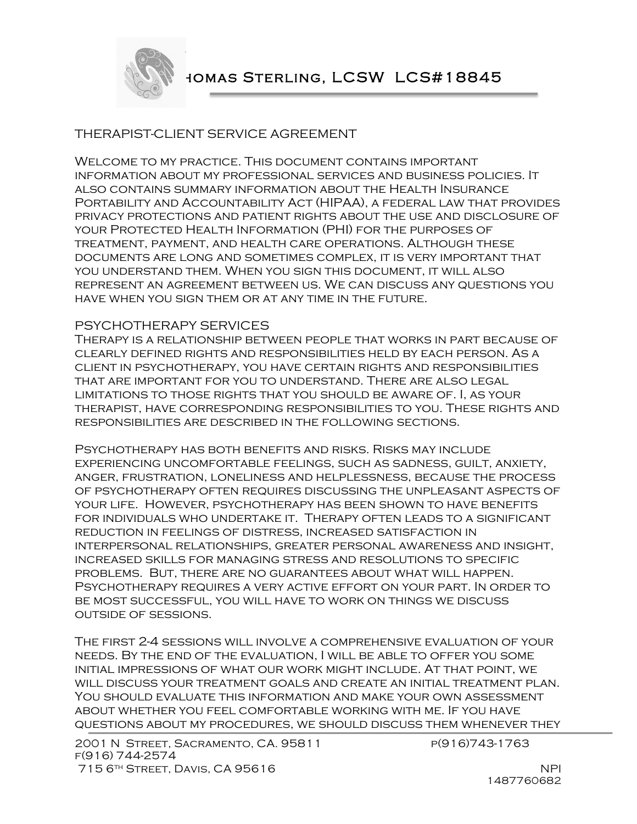

# THERAPIST-CLIENT SERVICE AGREEMENT

Welcome to my practice. This document contains important information about my professional services and business policies. It also contains summary information about the Health Insurance Portability and Accountability Act (HIPAA), a federal law that provides privacy protections and patient rights about the use and disclosure of your Protected Health Information (PHI) for the purposes of treatment, payment, and health care operations. Although these documents are long and sometimes complex, it is very important that you understand them. When you sign this document, it will also represent an agreement between us. We can discuss any questions you have when you sign them or at any time in the future.

### PSYCHOTHERAPY SERVICES

Therapy is a relationship between people that works in part because of clearly defined rights and responsibilities held by each person. As a client in psychotherapy, you have certain rights and responsibilities that are important for you to understand. There are also legal limitations to those rights that you should be aware of. I, as your therapist, have corresponding responsibilities to you. These rights and responsibilities are described in the following sections.

Psychotherapy has both benefits and risks. Risks may include experiencing uncomfortable feelings, such as sadness, guilt, anxiety, anger, frustration, loneliness and helplessness, because the process of psychotherapy often requires discussing the unpleasant aspects of your life. However, psychotherapy has been shown to have benefits for individuals who undertake it. Therapy often leads to a significant reduction in feelings of distress, increased satisfaction in interpersonal relationships, greater personal awareness and insight, increased skills for managing stress and resolutions to specific problems. But, there are no guarantees about what will happen. Psychotherapy requires a very active effort on your part. In order to be most successful, you will have to work on things we discuss outside of sessions.

The first 2-4 sessions will involve a comprehensive evaluation of your needs. By the end of the evaluation, I will be able to offer you some initial impressions of what our work might include. At that point, we will discuss your treatment goals and create an initial treatment plan. You should evaluate this information and make your own assessment about whether you feel comfortable working with me. If you have questions about my procedures, we should discuss them whenever they

2001 N STREET, SACRAMENTO, CA. 95811 P(916)743-1763 f(916) 744-2574 715 6<sup>TH</sup> STREET, DAVIS, CA 95616 NPI

1487760682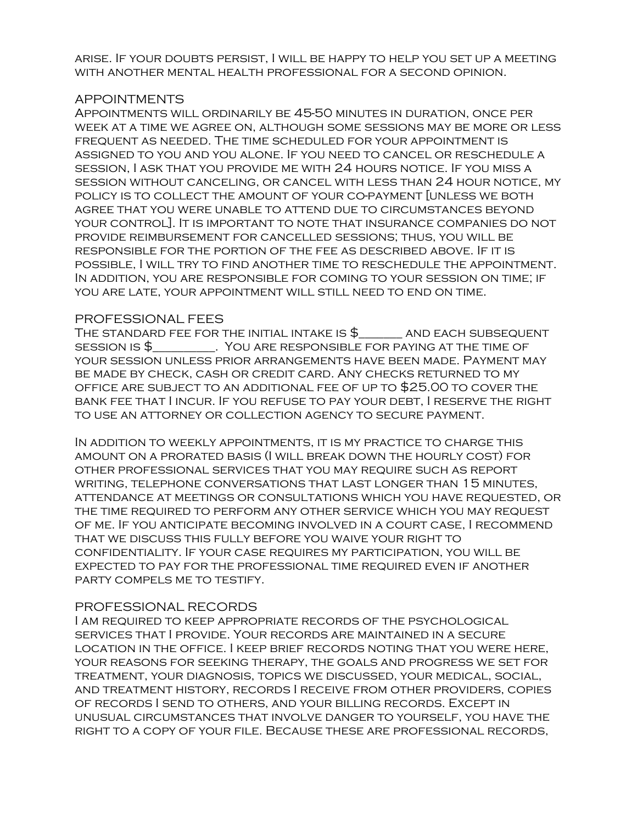arise. If your doubts persist, I will be happy to help you set up a meeting with another mental health professional for a second opinion.

#### APPOINTMENTS

Appointments will ordinarily be 45-50 minutes in duration, once per week at a time we agree on, although some sessions may be more or less frequent as needed. The time scheduled for your appointment is assigned to you and you alone. If you need to cancel or reschedule a session, I ask that you provide me with 24 hours notice. If you miss a session without canceling, or cancel with less than 24 hour notice, my policy is to collect the amount of your co-payment [unless we both agree that you were unable to attend due to circumstances beyond your control]. It is important to note that insurance companies do not provide reimbursement for cancelled sessions; thus, you will be responsible for the portion of the fee as described above. If it is possible, I will try to find another time to reschedule the appointment. In addition, you are responsible for coming to your session on time; if you are late, your appointment will still need to end on time.

### PROFESSIONAL FEES

THE STANDARD FEE FOR THE INITIAL INTAKE IS  $\$\hspace{2cm}$  and each subsequent SESSION IS  $\frac{6}{7}$   $\qquad \qquad$  YOU ARE RESPONSIBLE FOR PAYING AT THE TIME OF your session unless prior arrangements have been made. Payment may be made by check, cash or credit card. Any checks returned to my office are subject to an additional fee of up to \$25.00 to cover the bank fee that I incur. If you refuse to pay your debt, I reserve the right to use an attorney or collection agency to secure payment.

In addition to weekly appointments, it is my practice to charge this amount on a prorated basis (I will break down the hourly cost) for other professional services that you may require such as report writing, telephone conversations that last longer than 15 minutes, attendance at meetings or consultations which you have requested, or the time required to perform any other service which you may request of me. If you anticipate becoming involved in a court case, I recommend that we discuss this fully before you waive your right to confidentiality. If your case requires my participation, you will be expected to pay for the professional time required even if another party compels me to testify.

## PROFESSIONAL RECORDS

I am required to keep appropriate records of the psychological services that I provide. Your records are maintained in a secure location in the office. I keep brief records noting that you were here, your reasons for seeking therapy, the goals and progress we set for treatment, your diagnosis, topics we discussed, your medical, social, and treatment history, records I receive from other providers, copies of records I send to others, and your billing records. Except in unusual circumstances that involve danger to yourself, you have the right to a copy of your file. Because these are professional records,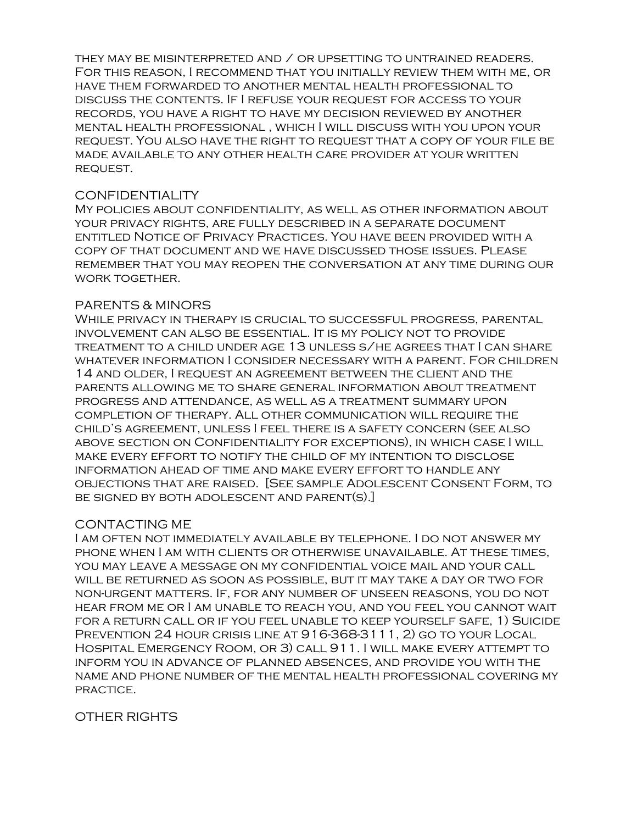they may be misinterpreted and / or upsetting to untrained readers. For this reason, I recommend that you initially review them with me, or have them forwarded to another mental health professional to discuss the contents. If I refuse your request for access to your records, you have a right to have my decision reviewed by another mental health professional , which I will discuss with you upon your request. You also have the right to request that a copy of your file be made available to any other health care provider at your written request.

#### **CONFIDENTIALITY**

My policies about confidentiality, as well as other information about your privacy rights, are fully described in a separate document entitled Notice of Privacy Practices. You have been provided with a copy of that document and we have discussed those issues. Please remember that you may reopen the conversation at any time during our WORK TOGETHER.

### PARENTS & MINORS

While privacy in therapy is crucial to successful progress, parental involvement can also be essential. It is my policy not to provide treatment to a child under age 13 unless s/he agrees that I can share whatever information I consider necessary with a parent. For children 14 and older, I request an agreement between the client and the parents allowing me to share general information about treatment progress and attendance, as well as a treatment summary upon completion of therapy. All other communication will require the child's agreement, unless I feel there is a safety concern (see also above section on Confidentiality for exceptions), in which case I will make every effort to notify the child of my intention to disclose information ahead of time and make every effort to handle any objections that are raised. [See sample Adolescent Consent Form, to be signed by both adolescent and parent(s).]

## CONTACTING ME

I am often not immediately available by telephone. I do not answer my phone when I am with clients or otherwise unavailable. At these times, you may leave a message on my confidential voice mail and your call will be returned as soon as possible, but it may take a day or two for non-urgent matters. If, for any number of unseen reasons, you do not hear from me or I am unable to reach you, and you feel you cannot wait for a return call or if you feel unable to keep yourself safe, 1) Suicide PREVENTION 24 HOUR CRISIS LINE AT 916-368-3111, 2) GO TO YOUR LOCAL Hospital Emergency Room, or 3) call 911. I will make every attempt to inform you in advance of planned absences, and provide you with the name and phone number of the mental health professional covering my practice.

## OTHER RIGHTS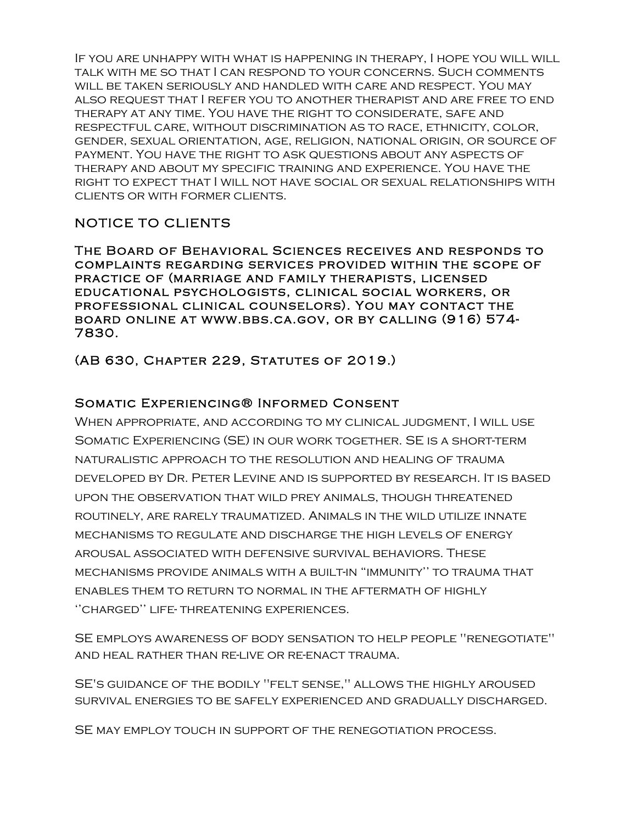If you are unhappy with what is happening in therapy, I hope you will will talk with me so that I can respond to your concerns. Such comments will be taken seriously and handled with care and respect. You may also request that I refer you to another therapist and are free to end therapy at any time. You have the right to considerate, safe and respectful care, without discrimination as to race, ethnicity, color, gender, sexual orientation, age, religion, national origin, or source of payment. You have the right to ask questions about any aspects of therapy and about my specific training and experience. You have the right to expect that I will not have social or sexual relationships with clients or with former clients.

# NOTICE TO CLIENTS

The Board of Behavioral Sciences receives and responds to complaints regarding services provided within the scope of practice of (marriage and family therapists, licensed educational psychologists, clinical social workers, or professional clinical counselors). You may contact the board online at www.bbs.ca.gov, or by calling (916) 574- 7830.

(AB 630, Chapter 229, Statutes of 2019.)

# Somatic Experiencing® Informed Consent

When appropriate, and according to my clinical judgment, I will use Somatic Experiencing (SE) in our work together. SE is a short-term naturalistic approach to the resolution and healing of trauma developed by Dr. Peter Levine and is supported by research. It is based upon the observation that wild prey animals, though threatened routinely, are rarely traumatized. Animals in the wild utilize innate mechanisms to regulate and discharge the high levels of energy arousal associated with defensive survival behaviors. These mechanisms provide animals with a built-in "immunity'' to trauma that enables them to return to normal in the aftermath of highly ''charged'' life- threatening experiences.

SE employs awareness of body sensation to help people "renegotiate" and heal rather than re-live or re-enact trauma.

SE's guidance of the bodily "felt sense," allows the highly aroused survival energies to be safely experienced and gradually discharged.

SE may employ touch in support of the renegotiation process.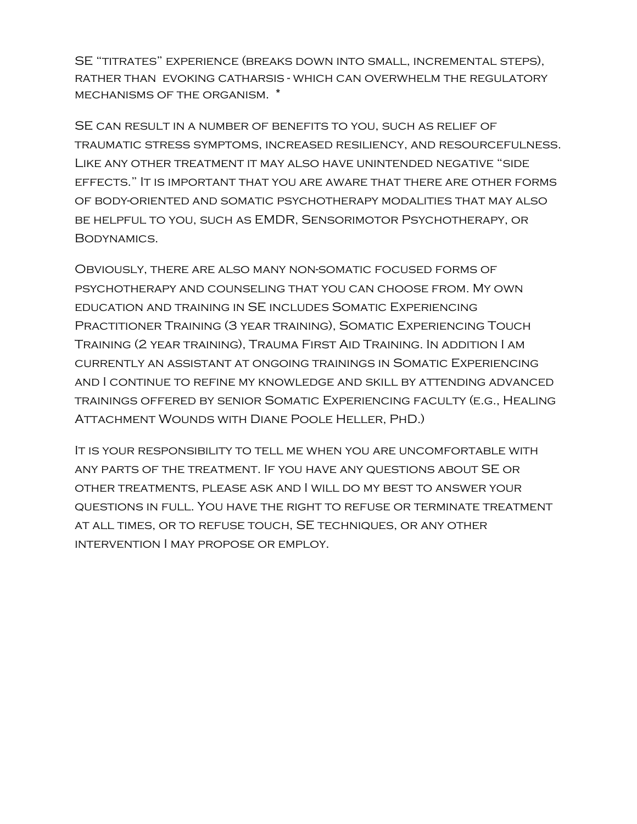SE "titrates" experience (breaks down into small, incremental steps), rather than evoking catharsis - which can overwhelm the regulatory mechanisms of the organism. \*

SE can result in a number of benefits to you, such as relief of traumatic stress symptoms, increased resiliency, and resourcefulness. Like any other treatment it may also have unintended negative "side effects." It is important that you are aware that there are other forms of body-oriented and somatic psychotherapy modalities that may also be helpful to you, such as EMDR, Sensorimotor Psychotherapy, or Bodynamics.

Obviously, there are also many non-somatic focused forms of psychotherapy and counseling that you can choose from. My own education and training in SE includes Somatic Experiencing Practitioner Training (3 year training), Somatic Experiencing Touch Training (2 year training), Trauma First Aid Training. In addition I am currently an assistant at ongoing trainings in Somatic Experiencing and I continue to refine my knowledge and skill by attending advanced trainings offered by senior Somatic Experiencing faculty (e.g., Healing Attachment Wounds with Diane Poole Heller, PhD.)

It is your responsibility to tell me when you are uncomfortable with any parts of the treatment. If you have any questions about SE or other treatments, please ask and I will do my best to answer your questions in full. You have the right to refuse or terminate treatment at all times, or to refuse touch, SE techniques, or any other intervention I may propose or employ.